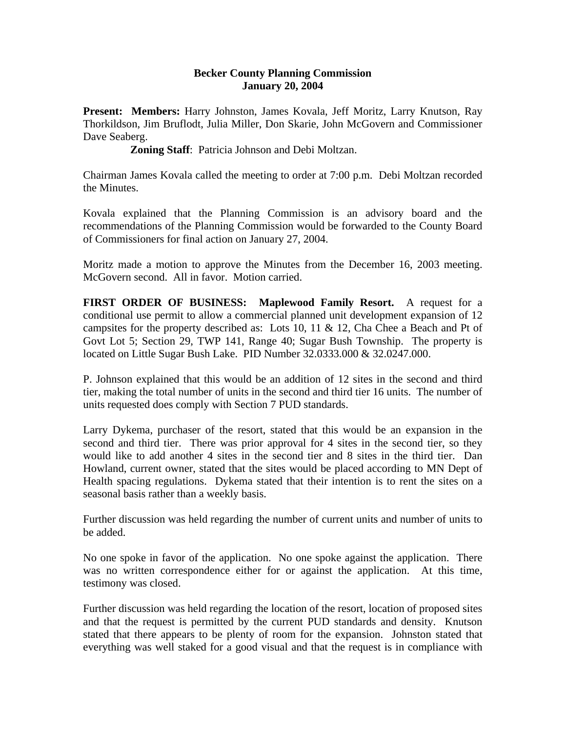## **Becker County Planning Commission January 20, 2004**

**Present: Members:** Harry Johnston, James Kovala, Jeff Moritz, Larry Knutson, Ray Thorkildson, Jim Bruflodt, Julia Miller, Don Skarie, John McGovern and Commissioner Dave Seaberg.

**Zoning Staff**:Patricia Johnson and Debi Moltzan.

Chairman James Kovala called the meeting to order at 7:00 p.m. Debi Moltzan recorded the Minutes.

Kovala explained that the Planning Commission is an advisory board and the recommendations of the Planning Commission would be forwarded to the County Board of Commissioners for final action on January 27, 2004.

Moritz made a motion to approve the Minutes from the December 16, 2003 meeting. McGovern second. All in favor. Motion carried.

**FIRST ORDER OF BUSINESS: Maplewood Family Resort.** A request for a conditional use permit to allow a commercial planned unit development expansion of 12 campsites for the property described as: Lots 10, 11 & 12, Cha Chee a Beach and Pt of Govt Lot 5; Section 29, TWP 141, Range 40; Sugar Bush Township. The property is located on Little Sugar Bush Lake. PID Number 32.0333.000 & 32.0247.000.

P. Johnson explained that this would be an addition of 12 sites in the second and third tier, making the total number of units in the second and third tier 16 units. The number of units requested does comply with Section 7 PUD standards.

Larry Dykema, purchaser of the resort, stated that this would be an expansion in the second and third tier. There was prior approval for 4 sites in the second tier, so they would like to add another 4 sites in the second tier and 8 sites in the third tier. Dan Howland, current owner, stated that the sites would be placed according to MN Dept of Health spacing regulations. Dykema stated that their intention is to rent the sites on a seasonal basis rather than a weekly basis.

Further discussion was held regarding the number of current units and number of units to be added.

No one spoke in favor of the application. No one spoke against the application. There was no written correspondence either for or against the application. At this time, testimony was closed.

Further discussion was held regarding the location of the resort, location of proposed sites and that the request is permitted by the current PUD standards and density. Knutson stated that there appears to be plenty of room for the expansion. Johnston stated that everything was well staked for a good visual and that the request is in compliance with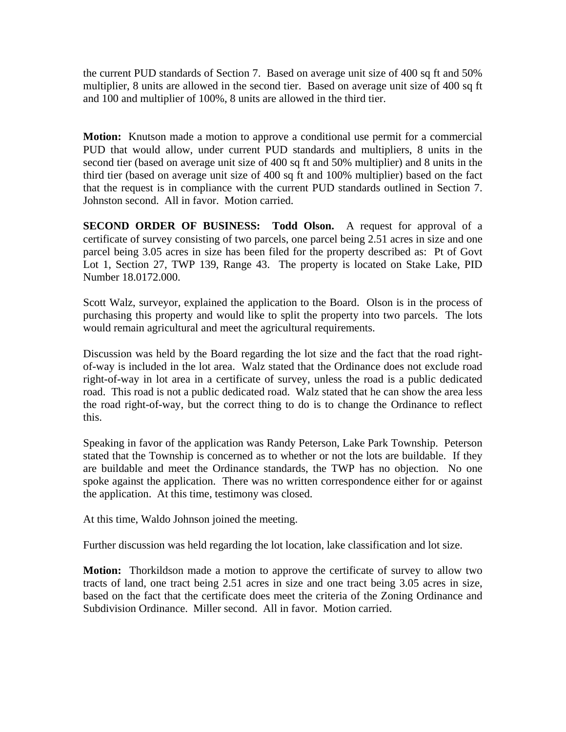the current PUD standards of Section 7. Based on average unit size of 400 sq ft and 50% multiplier, 8 units are allowed in the second tier. Based on average unit size of 400 sq ft and 100 and multiplier of 100%, 8 units are allowed in the third tier.

**Motion:** Knutson made a motion to approve a conditional use permit for a commercial PUD that would allow, under current PUD standards and multipliers, 8 units in the second tier (based on average unit size of 400 sq ft and 50% multiplier) and 8 units in the third tier (based on average unit size of 400 sq ft and 100% multiplier) based on the fact that the request is in compliance with the current PUD standards outlined in Section 7. Johnston second. All in favor. Motion carried.

**SECOND ORDER OF BUSINESS: Todd Olson.** A request for approval of a certificate of survey consisting of two parcels, one parcel being 2.51 acres in size and one parcel being 3.05 acres in size has been filed for the property described as: Pt of Govt Lot 1, Section 27, TWP 139, Range 43. The property is located on Stake Lake, PID Number 18.0172.000.

Scott Walz, surveyor, explained the application to the Board. Olson is in the process of purchasing this property and would like to split the property into two parcels. The lots would remain agricultural and meet the agricultural requirements.

Discussion was held by the Board regarding the lot size and the fact that the road rightof-way is included in the lot area. Walz stated that the Ordinance does not exclude road right-of-way in lot area in a certificate of survey, unless the road is a public dedicated road. This road is not a public dedicated road. Walz stated that he can show the area less the road right-of-way, but the correct thing to do is to change the Ordinance to reflect this.

Speaking in favor of the application was Randy Peterson, Lake Park Township. Peterson stated that the Township is concerned as to whether or not the lots are buildable. If they are buildable and meet the Ordinance standards, the TWP has no objection. No one spoke against the application. There was no written correspondence either for or against the application. At this time, testimony was closed.

At this time, Waldo Johnson joined the meeting.

Further discussion was held regarding the lot location, lake classification and lot size.

**Motion:** Thorkildson made a motion to approve the certificate of survey to allow two tracts of land, one tract being 2.51 acres in size and one tract being 3.05 acres in size, based on the fact that the certificate does meet the criteria of the Zoning Ordinance and Subdivision Ordinance. Miller second. All in favor. Motion carried.